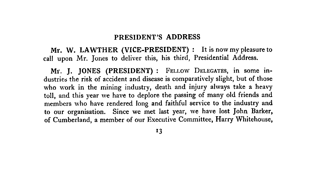# **PRESIDENT'S ADDRESS**

**Mr. W. LAWTHER (VICE-PRESIDENT)** : It is now my pleasure to call upon Mr. Jones to deliver this, his third, Presidential Address.

**Mr. J. JONES (PRESIDENT)** : *FELLOW* DELEGATES, in some industries the risk of accident and disease is comparatively slight, but of those who work in the mining industry, death and injury always take a heavy toll, and this year we have to deplore the passing of many old friends and members who have rendered long and faithful service to the industry and to our organisation. Since we met last year, we have lost John Barker, of Cumberland, a member of our Executive Committee, Harry Whitehouse,

13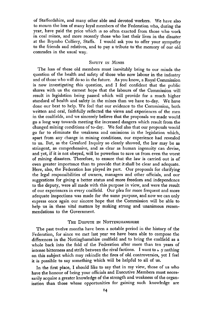of Staffordshire, and many other able and devoted workers. We have also to mourn the loss of many loyal members of the Federation who, during the year, have paid the price which is so often exacted from those who work in coal mines, and more recently those who lost their lives in the disaster at the Brymbo Colliery, Staffs. I would ask you to offer your sympathy to the friends and relatives, and to pay a tribute to the memory of our old comrades in the usual way.

### SAFETY IN MINES

The loss of these old members must inevitably bring to our minds the question of the health and safety of those who now labour in the industry and of those who will do so in the future. As you know, a Royal Commission is now investigating this question, and I feel confident that the public shares with us the earnest hope that the labours of the Commission will result in legislation being passed which will provide for a much higher standard of health and safety in the mines than we have to-day. We have done our best to help. We feel that our evidence to the Commission, both written and oral, faithfully reflected the views and experiences of the men in the coalfields, and we sincerely believe that the proposals we made would go a long way towards meeting the increased dangers which result from the changed mining conditions of to-day. We feel also that our proposals would go far to eliminate the weakness and omissions in the legislation which, apart from any change in mining conditions, our experience had revealed to us. But, as the Gresford Inquiry so clearly showed, the law may be as stringent, as comprehensive, and as clear as human ingenuity can devise, and yet, if it is not obeyed, will be powerless to save us from even the worst of mining disasters. Therefore, to ensure that the law is carried out is of even greater importance than to provide that it shall be clear and adequate. Here, also, the Federation has played its part. Our proposals for clarifying the legal responsibilities of owners, managers and other officials, and our suggestions for giving a better status and more freedom and independence to the deputy, were all made with this purpose in view, and were the result of our experiences in every coalfield. Our plea for more frequent and more adequate inspections was made for the same purpose, and now we can only express once again our sincere hope that the Commission will be able t help us in these vital matters by making strong and unanimous recommendations to the Government.

## THE DISPUTE IN NOTTINGHAMSHIRE

The past twelve months have been a notable period in the history of the Federation, for since we met last year we have been able to compose the differences in the Nottinghamshire coalfield and to bring the coalfield as a whole back into the fold of the Federation after more than ten years of intense bitterness and strife between the rival factions. I want to  $\sim$  y nothing on this subject which may rekindle the fires of old controversies, yet I feel it is possible to say something which will be helpful to all of us.

In the first place, I should like to say that in my view, those of us who have the honour of being your officials and Executive Members must necessarily acquire a greater knowledge of the strength and weakness of the organisation than those whose opportunities for gaining such knowledge are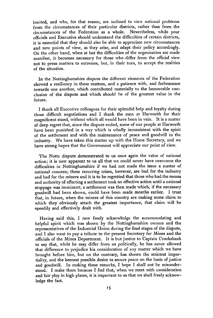limited, and who, for that reason, are inclined to view national problems from the circumstances of their particular districts, rather than from the circumstances of the Federation as a whole. Nevertheless, while your officials and Executive should understand the difficulties of certain districts, it is essential that they should also be able to appreciate new circumstances and new points of view, as they arise, and adapt their policy accordingly. On the other hand, when at last the difficulties of the organisation are made manifest, it becomes necessary for those who differ from the official view not to press matters to extremes, but, in their turn, to accept the realities of the situation.

In the Nottinghamshire dispute the different elements of the Federation showed a resiliency in these matters, and a patience with, and forbearance towards one another, which contributed materially to the honourable conclusion of the dispute and which should be of the greatest value in the future.

I thank all Executive colleagues for their splendid help and loyalty during those difficult negotiations and I thank the men at Harworth for their magnificent stand, without which all would have been in vain. It is a matter of deep regret that, since the dispute ended, some of our people at Harworth have been punished in a way which is wholly inconsistent with the spirit of the settlement and with the maintenance of peace and goodwill in the industry. We have taken this matter up with the Home Secretary, and we have strong hopes that the Government will appreciate our point of view.

The Notts dispute demonstrated to us once again the value of national action; it is now apparent to us all that we could never have overcome the difficulties in Nottinghamshire if we had not made the issue a matter of national concern; these recurring crises, however, are bad for the industry and bad for the miners and it is to be regretted that those who had the means and authority of effecting a settlement took no effective action until a national stoppage was imminent; a settlement was then made which, if the necessary goodwill had been shown, could have been made months earlier. I trust that, in future, when the miners of this country are making some claim to which they obviously attach the greatest importance, that claim will be speedily and effectively dealt with.

Having said this, I now freely acknowledge the accommodating and helpful spirit which was shown by the Nottinghamshire owners and the representatives of the Industrial Union during the final stages of the dispute, and I also want to pay a tribute to the present Secretary for Mines and the officials of the Mines Department. It is but justice to Captain Crookshank to say that, while he may differ from us politically, he has never allowed that difference to prejudice his consideration of any matter which we have brought before him, but on the contrary, has shown the strictest impartiality, and the keenest possible desire to secure peace on the basis of justice and goodwill. In making these remarks, I hope I shall not be misunderstood. I make them because I feel that, when we meet with consideration and fair play in high places, it is important to us that we shall freely acknowledge the fact.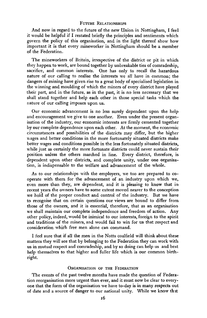### FUTURE RELATIONSHIPS

And now in regard to the future of the new Union in Nottingham, I feel it would be helpful if I restated briefly the principles and sentiments which govern the policy of this organisation, and in the light thereof show how important it is that every mineworker in Nottingham should be a member of the Federation.

The mineworkers of Britain, irrespective of the district or pit in which they happen to work, are bound together by unbreakable ties of comradeship, sacrifice, and common interests. One has only to recall the hazardous nature of our calling to realise the interests we all have in common; the dangers of mining have given rise to a great body of specialised legislation in the winning and moulding of which the miners of every district have played their part, and in the future, as in the past, it is no less necessary that we shall stand together and help each other in those special tasks which the nature of our calling imposes upon us.

Our economic advancement is no less surely dependent upon the help and encouragement we give to one another. Even under the present organisation of the industry, our economic interests are firmly cemented together by our complete dependence upon each other. At the moment, the economic circumstances and possibilities of the districts may differ, but the higher wages and better conditions in the more fortunately situated districts make better wages and conditions possible in the less fortunately situated districts, while just as certainly the more fortunate districts could never sustain their position unless the others marched in line. Every district, therefore, is dependent upon other districts, and complete unity, under one organisation, is indispensable to the welfare and advancement of the whole.

As to our relationships with the employers, we too are prepared to cooperate with them for the advancement of an industry upon which we, even more than they, are dependent, and it is pleasing to know that in recent years the owners have to some extent moved nearer to the conception we hold of the proper conduct and control of the industry. But we have to recognise that on certain questions our views are bound to differ from those of the owners, and it is essential, therefore, that as an organisation we shall maintain our complete independence and freedom of action. Any other policy, indeed, would be inimical to our interests, foreign to the spirit and traditions of the miners, and would fail to win for us that respect and consideration which free men alone can command.

I feel sure that if all the men in the Notts coalfield will think about these matters they will see that by belonging to the Federation they can work with us in mutual respect and comradeship, and by so doing can help us and best help themselves to that higher and fuller life which is our common birthright.

### ORGANISATION OF THE FEDERATION

The events of the past twelve months have made the question of Federation reorganisation more urgent than ever, and it must now be clear to everyone that the form of the organisation we have to-day is in many respects out of date and a source of danger to our national unity. While we know thit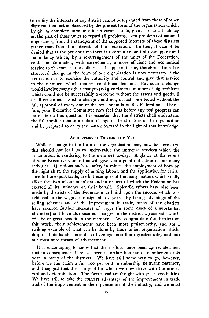in reality the interests of any district cannot be separated from those of other districts, this fact is obscured by the present form of the organisation which, by giving complete autonomy to its various units, gives rise to a tendency on the part of those units to regard all problems, even problems of national importance, from the standpoint of the supposed interests of those districts rather than from the interests of the Federation. Further, it cannot be denied that at the present time there is a certain amount of overlapping and redundancy which, by a re-arrangement of the units of the Federation, could be eliminated, with consequently a more efficient and economical service to the men at the collieries. It appears to me, therefore, that a big structural change in the form of our organisation is now necessary if the Federation is to exercise the authority and control and give that service to the members which modern conditions demand. But such a change would involve many other changes and give rise to a number of big problems which could not be successfully overcome without the assent and goodwill of all concerned. Such a change could not, in fact, be effected without the full approval of every one of the present units of the Federation. Therefore, your Executive Committee now feel that before any real progress can be made on this question it is essential that the districts shall understand the full implications of a radical change in the structure of the organisation and be prepared to carry the matter forward in the light of that knowledge.

# ACHIEVEMENTS DURING THE YEAR

While a change in the form of the organisation may now be necessary, this should not lead us to under-value the immense services which the organisation is rendering to the members to-day. A glance at the report of your Executive Committee will give you a good indication of our many activities. Questions such as safety in mines, the employment of boys on the night shift, the supply of mining labour, and the application for assistance to the export trade, are but examples of the many matters which vitally affect the lives of our members and in respect of which the Federation has exerted all its influence on their behalf. Splendid efforts have also been made by districts of the Federation to build upon the success which was achieved in the wages campaign of last year. By taking advantage of the selling schemes and of the improvement in trade, many of the districts have secured further increases of wages (in some cases of a substantial character) and have also secured changes in the district agreements which will be of great benefit to the members. We congratulate the districts on this work; their achievements have been most praiseworthy, and are a striking example of what can be done by trade union organisation which, despite all its handicaps and shortcomings, is still our greatest safeguard and our most sure means of advancement.

It is encouraging to know that these efforts have been appreciated and that in consequence there has been a further increase of membership this year in many of the districts. We have still some way to go, however, before we can claim a full ioo per cent, membership IN EVERY DISTRICT, and I suggest that this is a goal for which we now strive with the utmost zeal and determination. The days ahead are fraught with great possibilities. We have still to take the FULLEST advantage of the improvement in trade and of the improvement in the organisation of the industry, and we must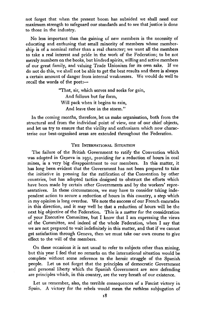not forget that when the present boom has subsided we shall need our maximum strength to safeguard our standards and to see that justice is done to those in the industry.

No less important than the gaining of new members is the necessity of educating and enthusing that small minority of members whose membership is of a nominal rather than a real character; we want all the members to take a real interest and pride in the work of the Federation; to be not merely numbers on the books, but kindred spirits, willing and active members of our great family, and valuing Trade Unionism for its own sake. If we do not do this, we shall not be able to get the best results and there is always a certain amount of danger from internal weaknesses. We would do well to recall the words of the poet:-

> "That, sir, which serves and seeks for gain, And follows but for form, Will pack when it begins to rain, And leave thee in the storm."

In the coming months, therefore, let us make organisation, both from the structural and from the individual point of view, one of our chief objects, and let us try to ensure that the virility and enthusiasm which now characterise our best-organised areas are extended throughout the Federation.

#### THE INTERNATIONAL SITUATION

The failure of the British Government to ratify the Convention which was adopted in Geneva in x931, pioviding for a reduction of hours in coal mines, is a very big disappointment to our members. In this matter, it has long been evident that the Government has not been prepared to take the initiative in pressing for the ratification of the Convention by other countries, but has adopted tactics designed to obstruct the efforts which have been made by certain other Governments and by the workers' representatives. In these circumstances, we may have to consider taking independent action to secure a reduction of hours in this country, a step which in my opinion is long overdue. We note the success of our French comrades in this direction, and it may well be that a reduction of hours will be the next big objective of the Federation. This is a matter for the consideration of your Executive Committee, but I know that I am expressing the views of the Committee, and indeed of the whole Federation, when I say that we are not prepared to wait indefinitely in this matter, and that if we cannot get satisfaction through Geneva, then we must take our own course to give effect to the will of the members.

On these occasions it is not usual to refer to subjects other than mining, but this year I feel that no remarks on the international situation would be complete without some reference to the heroic struggle of the Spanish people. Let us not forget that the principles of democratic Government and personal liberty which the Spanish Government are now defending are principles which, in this country, are the very breath of our existence.

Let us remember, also, the terrible consequences of a Fascist victory in Spain. A victory for the rebels would mean the ruthless subjugation of